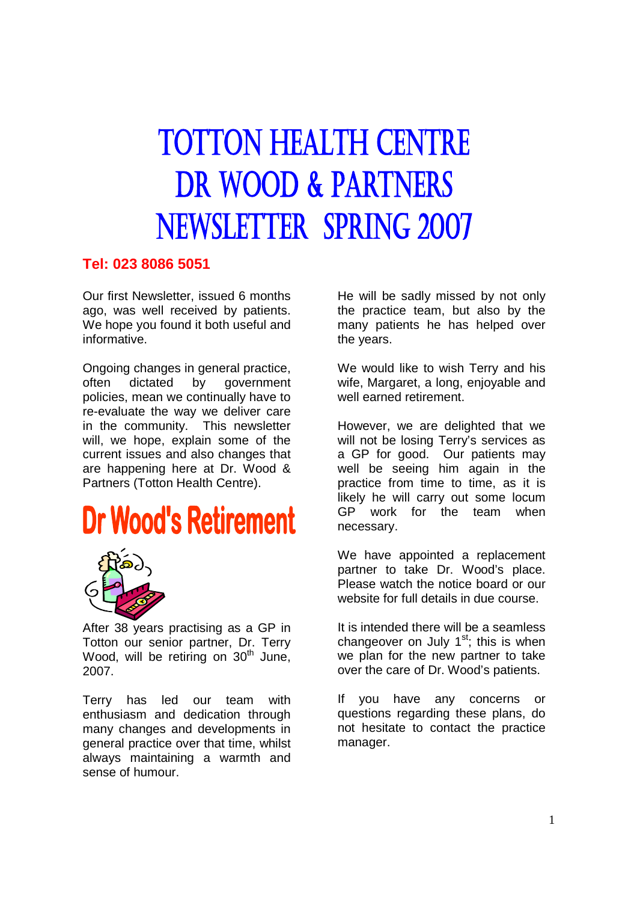# **TOTTON HEALTH CENTRE DR WOOD & PARTNERS NEWSLETTER SPRING 2007**

### **Tel: 023 8086 5051**

Our first Newsletter, issued 6 months ago, was well received by patients. We hope you found it both useful and informative.

Ongoing changes in general practice, often dictated by government policies, mean we continually have to re-evaluate the way we deliver care in the community. This newsletter will, we hope, explain some of the current issues and also changes that are happening here at Dr. Wood & Partners (Totton Health Centre).

# **Dr Wood's Retirement**



After 38 years practising as a GP in Totton our senior partner, Dr. Terry Wood, will be retiring on 30<sup>th</sup> June, 2007.

Terry has led our team with enthusiasm and dedication through many changes and developments in general practice over that time, whilst always maintaining a warmth and sense of humour.

He will be sadly missed by not only the practice team, but also by the many patients he has helped over the years.

We would like to wish Terry and his wife, Margaret, a long, enjoyable and well earned retirement.

However, we are delighted that we will not be losing Terry's services as a GP for good. Our patients may well be seeing him again in the practice from time to time, as it is likely he will carry out some locum GP work for the team when necessary.

We have appointed a replacement partner to take Dr. Wood's place. Please watch the notice board or our website for full details in due course.

It is intended there will be a seamless changeover on July  $1<sup>st</sup>$ ; this is when we plan for the new partner to take over the care of Dr. Wood's patients.

If you have any concerns or questions regarding these plans, do not hesitate to contact the practice manager.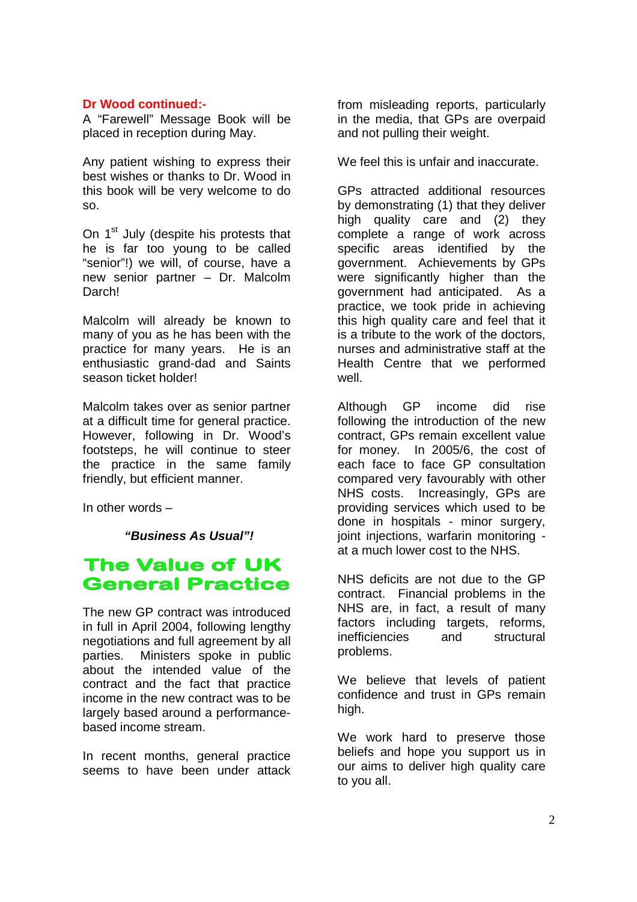### **Dr Wood continued:-**

A "Farewell" Message Book will be placed in reception during May.

Any patient wishing to express their best wishes or thanks to Dr. Wood in this book will be very welcome to do so.

On 1<sup>st</sup> July (despite his protests that he is far too young to be called "senior"!) we will, of course, have a new senior partner – Dr. Malcolm Darch!

Malcolm will already be known to many of you as he has been with the practice for many years. He is an enthusiastic grand-dad and Saints season ticket holder!

Malcolm takes over as senior partner at a difficult time for general practice. However, following in Dr. Wood's footsteps, he will continue to steer the practice in the same family friendly, but efficient manner.

In other words –

 **"Business As Usual"!**

### **The Value of UK General Practice**

The new GP contract was introduced in full in April 2004, following lengthy negotiations and full agreement by all parties. Ministers spoke in public about the intended value of the contract and the fact that practice income in the new contract was to be largely based around a performancebased income stream.

In recent months, general practice seems to have been under attack

from misleading reports, particularly in the media, that GPs are overpaid and not pulling their weight.

We feel this is unfair and inaccurate.

GPs attracted additional resources by demonstrating (1) that they deliver high quality care and (2) they complete a range of work across specific areas identified by the government. Achievements by GPs were significantly higher than the government had anticipated. As a practice, we took pride in achieving this high quality care and feel that it is a tribute to the work of the doctors, nurses and administrative staff at the Health Centre that we performed well.

Although GP income did rise following the introduction of the new contract, GPs remain excellent value for money. In 2005/6, the cost of each face to face GP consultation compared very favourably with other NHS costs. Increasingly, GPs are providing services which used to be done in hospitals - minor surgery, joint injections, warfarin monitoring at a much lower cost to the NHS.

NHS deficits are not due to the GP contract. Financial problems in the NHS are, in fact, a result of many factors including targets, reforms, inefficiencies and structural problems.

We believe that levels of patient confidence and trust in GPs remain high.

We work hard to preserve those beliefs and hope you support us in our aims to deliver high quality care to you all.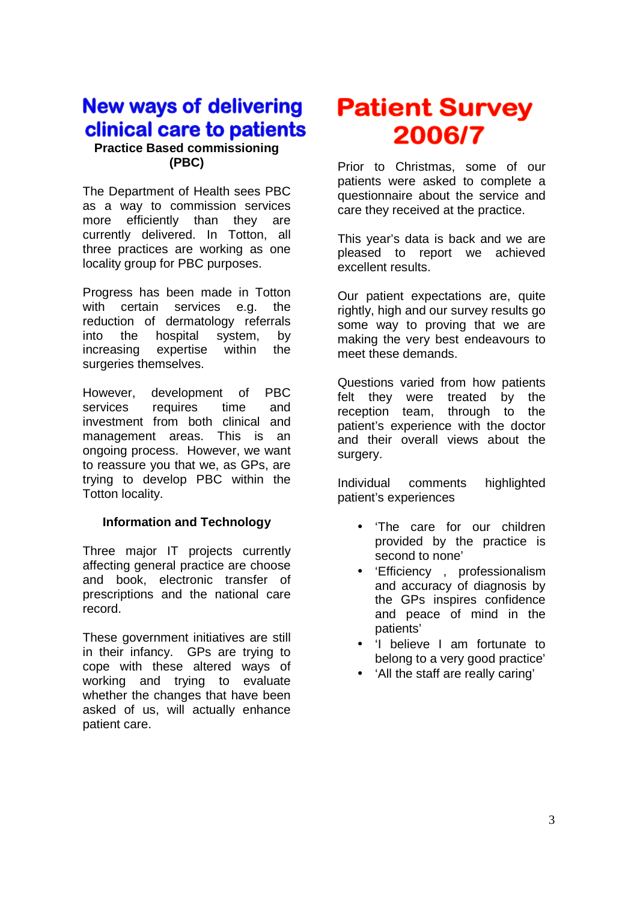### **New ways of delivering** clinical care to patients

### **Practice Based commissioning (PBC)**

The Department of Health sees PBC as a way to commission services more efficiently than they are currently delivered. In Totton, all three practices are working as one locality group for PBC purposes.

Progress has been made in Totton with certain services e.g. the reduction of dermatology referrals into the hospital system, by increasing expertise within the surgeries themselves.

However, development of PBC services requires time and investment from both clinical and management areas. This is an ongoing process. However, we want to reassure you that we, as GPs, are trying to develop PBC within the Totton locality.

### **Information and Technology**

Three major IT projects currently affecting general practice are choose and book, electronic transfer of prescriptions and the national care record.

These government initiatives are still in their infancy. GPs are trying to cope with these altered ways of working and trying to evaluate whether the changes that have been asked of us, will actually enhance patient care.

## **Patient Survey** 2006/7

Prior to Christmas, some of our patients were asked to complete a questionnaire about the service and care they received at the practice.

This year's data is back and we are pleased to report we achieved excellent results.

Our patient expectations are, quite rightly, high and our survey results go some way to proving that we are making the very best endeavours to meet these demands.

Questions varied from how patients felt they were treated by the reception team, through to the patient's experience with the doctor and their overall views about the surgery.

Individual comments highlighted patient's experiences

- 'The care for our children provided by the practice is second to none'
- 'Efficiency , professionalism and accuracy of diagnosis by the GPs inspires confidence and peace of mind in the patients'
- 'I believe I am fortunate to belong to a very good practice'
- 'All the staff are really caring'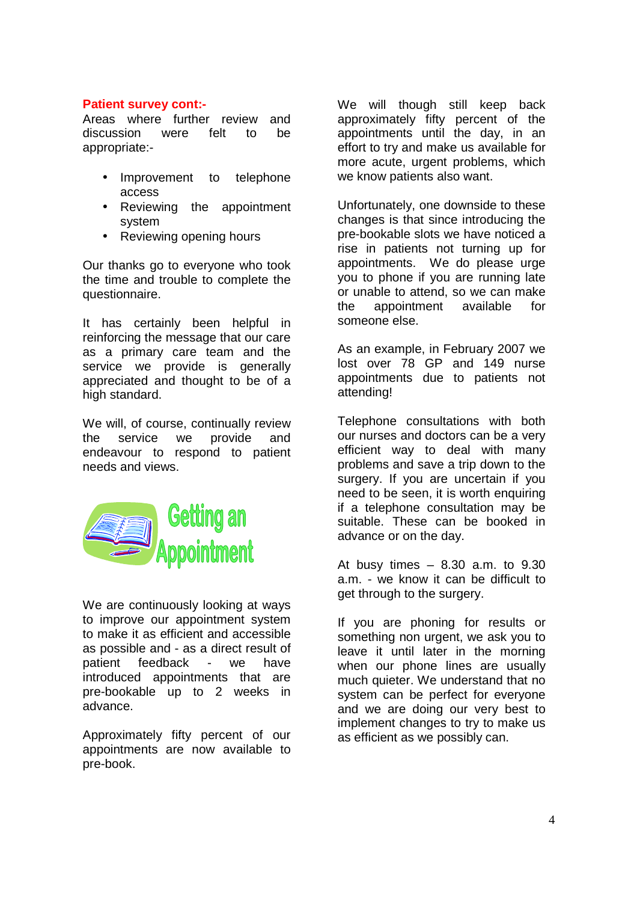### **Patient survey cont:-**

Areas where further review and discussion were felt to be appropriate:-

- Improvement to telephone access
- Reviewing the appointment system
- Reviewing opening hours

Our thanks go to everyone who took the time and trouble to complete the questionnaire.

It has certainly been helpful in reinforcing the message that our care as a primary care team and the service we provide is generally appreciated and thought to be of a high standard.

We will, of course, continually review the service we provide and endeavour to respond to patient needs and views.



We are continuously looking at ways to improve our appointment system to make it as efficient and accessible as possible and - as a direct result of patient feedback - we have introduced appointments that are pre-bookable up to 2 weeks in advance.

Approximately fifty percent of our appointments are now available to pre-book.

We will though still keep back approximately fifty percent of the appointments until the day, in an effort to try and make us available for more acute, urgent problems, which we know patients also want.

Unfortunately, one downside to these changes is that since introducing the pre-bookable slots we have noticed a rise in patients not turning up for appointments. We do please urge you to phone if you are running late or unable to attend, so we can make the appointment available for someone else.

As an example, in February 2007 we lost over 78 GP and 149 nurse appointments due to patients not attending!

Telephone consultations with both our nurses and doctors can be a very efficient way to deal with many problems and save a trip down to the surgery. If you are uncertain if you need to be seen, it is worth enquiring if a telephone consultation may be suitable. These can be booked in advance or on the day.

At busy times – 8.30 a.m. to 9.30 a.m. - we know it can be difficult to get through to the surgery.

If you are phoning for results or something non urgent, we ask you to leave it until later in the morning when our phone lines are usually much quieter. We understand that no system can be perfect for everyone and we are doing our very best to implement changes to try to make us as efficient as we possibly can.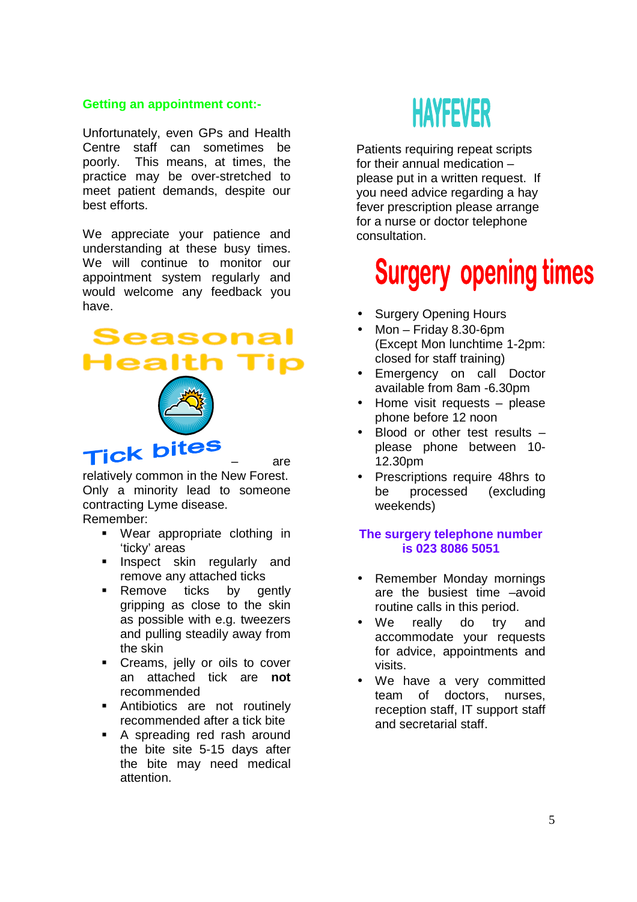### **Getting an appointment cont:-**

Unfortunately, even GPs and Health Centre staff can sometimes be poorly. This means, at times, the practice may be over-stretched to meet patient demands, despite our best efforts.

We appreciate your patience and understanding at these busy times. We will continue to monitor our appointment system regularly and would welcome any feedback you have.

### Seasonal **Health**



– are

relatively common in the New Forest. Only a minority lead to someone contracting Lyme disease. Remember:

- Wear appropriate clothing in 'ticky' areas
- **Inspect skin regularly and** remove any attached ticks
- **Remove ticks by gently** gripping as close to the skin as possible with e.g. tweezers and pulling steadily away from the skin
- **Creams, jelly or oils to cover** an attached tick are **not** recommended
- **Antibiotics are not routinely** recommended after a tick bite
- A spreading red rash around the bite site 5-15 days after the bite may need medical attention.



Patients requiring repeat scripts for their annual medication – please put in a written request. If you need advice regarding a hay fever prescription please arrange for a nurse or doctor telephone consultation.

## **Surgery opening times**

- **Surgery Opening Hours**
- $Mon Friday 8.30-6pm$ (Except Mon lunchtime 1-2pm: closed for staff training)
- Emergency on call Doctor available from 8am -6.30pm
- Home visit requests  $-$  please phone before 12 noon
- Blood or other test results please phone between 10- 12.30pm
- Prescriptions require 48hrs to be processed (excluding weekends)

### **The surgery telephone number is 023 8086 5051**

- Remember Monday mornings are the busiest time –avoid routine calls in this period.
- We really do try and accommodate your requests for advice, appointments and visits.
- We have a very committed team of doctors, nurses, reception staff, IT support staff and secretarial staff.